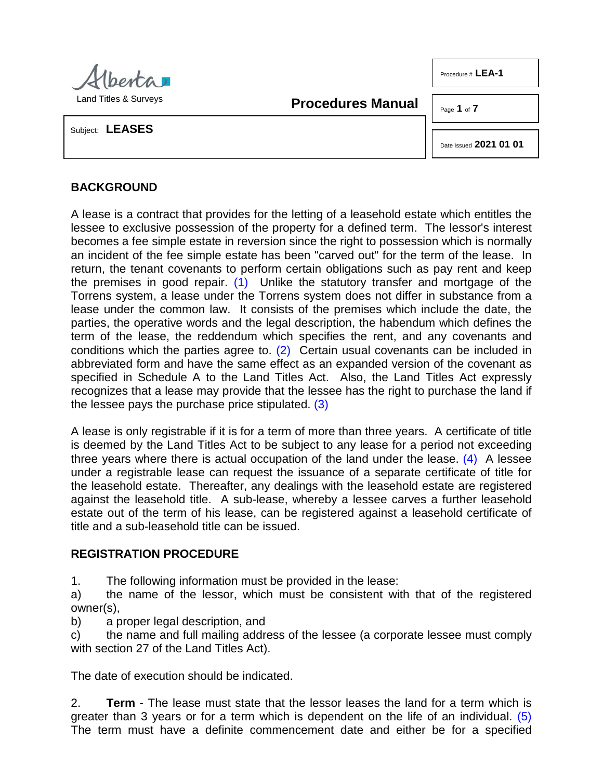

Land Titles & Surveys

**Procedures Manual**

Page **1** of **7**

Procedure # LEA-1

Subject: **LEASES**

<span id="page-0-3"></span>Date Issued **2021 01 01**

## **BACKGROUND**

<span id="page-0-0"></span>A lease is a contract that provides for the letting of a leasehold estate which entitles the lessee to exclusive possession of the property for a defined term. The lessor's interest becomes a fee simple estate in reversion since the right to possession which is normally an incident of the fee simple estate has been "carved out" for the term of the lease. In return, the tenant covenants to perform certain obligations such as pay rent and keep the premises in good repair. [\(1\)](#page-6-0) Unlike the statutory transfer and mortgage of the Torrens system, a lease under the Torrens system does not differ in substance from a lease under the common law. It consists of the premises which include the date, the parties, the operative words and the legal description, the habendum which defines the term of the lease, the reddendum which specifies the rent, and any covenants and conditions which the parties agree to. [\(2\)](#page-6-1) Certain usual covenants can be included in abbreviated form and have the same effect as an expanded version of the covenant as specified in Schedule A to the Land Titles Act. Also, the Land Titles Act expressly recognizes that a lease may provide that the lessee has the right to purchase the land if the lessee pays the purchase price stipulated. [\(3\)](#page-6-2)

<span id="page-0-2"></span><span id="page-0-1"></span>A lease is only registrable if it is for a term of more than three years. A certificate of title is deemed by the Land Titles Act to be subject to any lease for a period not exceeding three years where there is actual occupation of the land under the lease. [\(4\)](#page-6-3) A lessee under a registrable lease can request the issuance of a separate certificate of title for the leasehold estate. Thereafter, any dealings with the leasehold estate are registered against the leasehold title. A sub-lease, whereby a lessee carves a further leasehold estate out of the term of his lease, can be registered against a leasehold certificate of title and a sub-leasehold title can be issued.

## **REGISTRATION PROCEDURE**

1. The following information must be provided in the lease:

a) the name of the lessor, which must be consistent with that of the registered owner(s),

b) a proper legal description, and

c) the name and full mailing address of the lessee (a corporate lessee must comply with section 27 of the Land Titles Act).

The date of execution should be indicated.

<span id="page-0-4"></span>2. **Term** - The lease must state that the lessor leases the land for a term which is greater than 3 years or for a term which is dependent on the life of an individual. [\(5\)](#page-6-4)  The term must have a definite commencement date and either be for a specified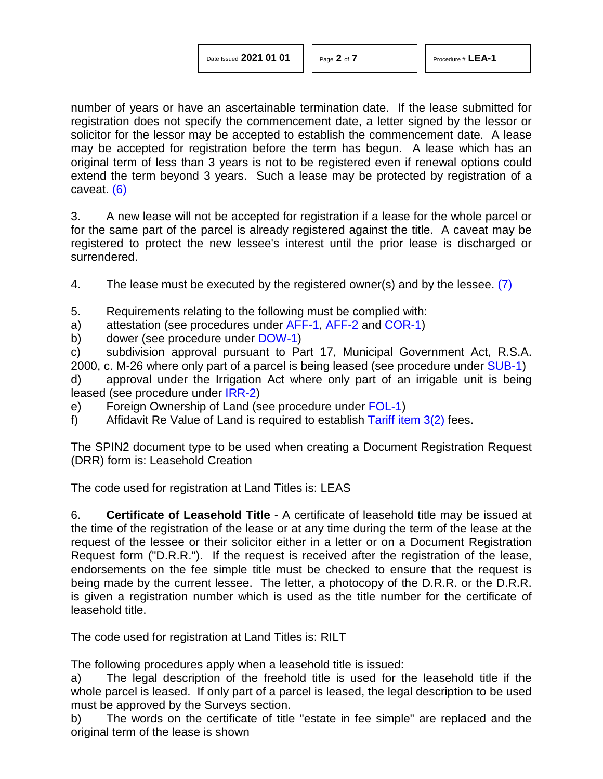number of years or have an ascertainable termination date. If the lease submitted for registration does not specify the commencement date, a letter signed by the lessor or solicitor for the lessor may be accepted to establish the commencement date. A lease may be accepted for registration before the term has begun. A lease which has an original term of less than 3 years is not to be registered even if renewal options could extend the term beyond 3 years. Such a lease may be protected by registration of a caveat. [\(6\)](#page-6-5)

<span id="page-1-0"></span>3. A new lease will not be accepted for registration if a lease for the whole parcel or for the same part of the parcel is already registered against the title. A caveat may be registered to protect the new lessee's interest until the prior lease is discharged or surrendered.

<span id="page-1-1"></span>4. The lease must be executed by the registered owner(s) and by the lessee. [\(7\)](#page-6-6)

- 5. Requirements relating to the following must be complied with:
- a) attestation (see procedures under [AFF-1,](http://www.servicealberta.ca/pdf/ltmanual/AFF-1.pdf) [AFF-2](http://www.servicealberta.ca/pdf/ltmanual/AFF-2.pdf) and [COR-1\)](http://www.servicealberta.ca/pdf/ltmanual/COR-1.pdf)
- b) dower (see procedure under [DOW-1\)](http://www.servicealberta.ca/pdf/ltmanual/DOW-1.pdf)

c) subdivision approval pursuant to Part 17, Municipal Government Act, R.S.A. 2000, c. M-26 where only part of a parcel is being leased (see procedure under [SUB-1\)](http://www.servicealberta.ca/pdf/ltmanual/SUB-1.pdf)

d) approval under the Irrigation Act where only part of an irrigable unit is being leased (see procedure under [IRR-2\)](http://www.servicealberta.ca/pdf/ltmanual/IRR-2.pdf)

- e) Foreign Ownership of Land (see procedure under [FOL-1\)](http://www.servicealberta.ca/pdf/ltmanual/FOL-1.pdf)
- f) Affidavit Re Value of Land is required to establish Tariff item  $3(2)$  fees.

The SPIN2 document type to be used when creating a Document Registration Request (DRR) form is: Leasehold Creation

The code used for registration at Land Titles is: LEAS

6. **Certificate of Leasehold Title** - A certificate of leasehold title may be issued at the time of the registration of the lease or at any time during the term of the lease at the request of the lessee or their solicitor either in a letter or on a Document Registration Request form ("D.R.R."). If the request is received after the registration of the lease, endorsements on the fee simple title must be checked to ensure that the request is being made by the current lessee. The letter, a photocopy of the D.R.R. or the D.R.R. is given a registration number which is used as the title number for the certificate of leasehold title.

The code used for registration at Land Titles is: RILT

The following procedures apply when a leasehold title is issued:

a) The legal description of the freehold title is used for the leasehold title if the whole parcel is leased. If only part of a parcel is leased, the legal description to be used must be approved by the Surveys section.

b) The words on the certificate of title "estate in fee simple" are replaced and the original term of the lease is shown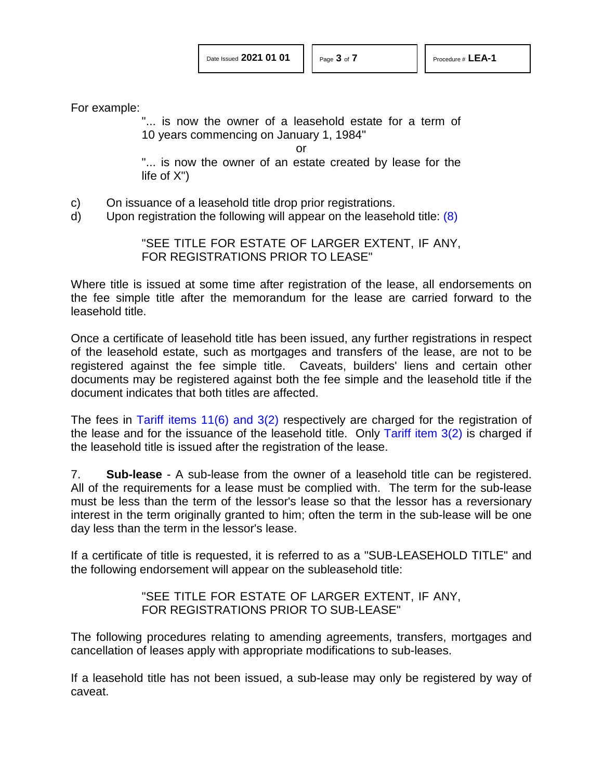For example:

"... is now the owner of a leasehold estate for a term of 10 years commencing on January 1, 1984"

<span id="page-2-0"></span>or

"... is now the owner of an estate created by lease for the life of X")

- c) On issuance of a leasehold title drop prior registrations.
- d) Upon registration the following will appear on the leasehold title: [\(8\)](#page-6-7)

"SEE TITLE FOR ESTATE OF LARGER EXTENT, IF ANY, FOR REGISTRATIONS PRIOR TO LEASE"

Where title is issued at some time after registration of the lease, all endorsements on the fee simple title after the memorandum for the lease are carried forward to the leasehold title.

Once a certificate of leasehold title has been issued, any further registrations in respect of the leasehold estate, such as mortgages and transfers of the lease, are not to be registered against the fee simple title. Caveats, builders' liens and certain other documents may be registered against both the fee simple and the leasehold title if the document indicates that both titles are affected.

The fees in [Tariff items 11\(6\) and 3\(2\)](http://www.servicealberta.ca/pdf/ltmanual/APPENDIXI.pdf) respectively are charged for the registration of the lease and for the issuance of the leasehold title. Only Tariff item  $3(2)$  is charged if the leasehold title is issued after the registration of the lease.

7. **Sub-lease** - A sub-lease from the owner of a leasehold title can be registered. All of the requirements for a lease must be complied with. The term for the sub-lease must be less than the term of the lessor's lease so that the lessor has a reversionary interest in the term originally granted to him; often the term in the sub-lease will be one day less than the term in the lessor's lease.

If a certificate of title is requested, it is referred to as a "SUB-LEASEHOLD TITLE" and the following endorsement will appear on the subleasehold title:

> "SEE TITLE FOR ESTATE OF LARGER EXTENT, IF ANY, FOR REGISTRATIONS PRIOR TO SUB-LEASE"

The following procedures relating to amending agreements, transfers, mortgages and cancellation of leases apply with appropriate modifications to sub-leases.

If a leasehold title has not been issued, a sub-lease may only be registered by way of caveat.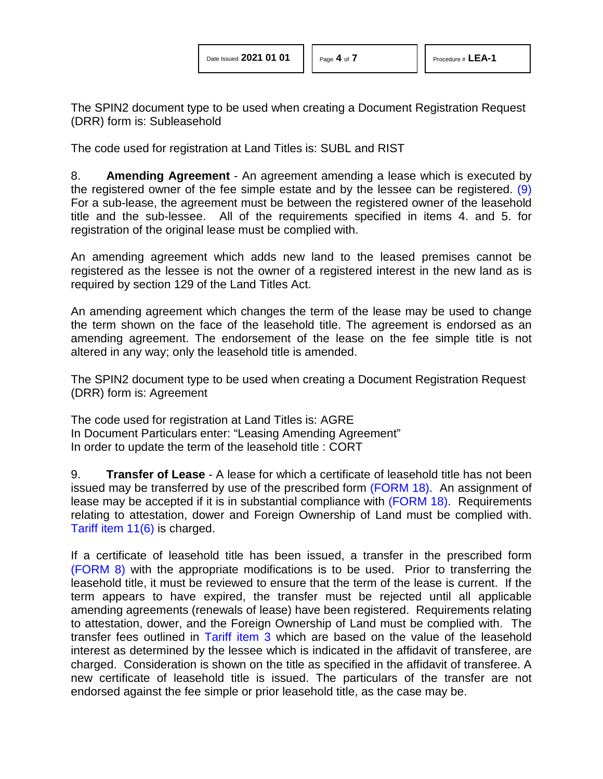The SPIN2 document type to be used when creating a Document Registration Request (DRR) form is: Subleasehold

The code used for registration at Land Titles is: SUBL and RIST

<span id="page-3-0"></span>8. **Amending Agreement** - An agreement amending a lease which is executed by the registered owner of the fee simple estate and by the lessee can be registered. [\(9\)](#page-6-8)  For a sub-lease, the agreement must be between the registered owner of the leasehold title and the sub-lessee. All of the requirements specified in items 4. and 5. for registration of the original lease must be complied with.

An amending agreement which adds new land to the leased premises cannot be registered as the lessee is not the owner of a registered interest in the new land as is required by section 129 of the Land Titles Act.

An amending agreement which changes the term of the lease may be used to change the term shown on the face of the leasehold title. The agreement is endorsed as an amending agreement. The endorsement of the lease on the fee simple title is not altered in any way; only the leasehold title is amended.

The SPIN2 document type to be used when creating a Document Registration Request (DRR) form is: Agreement

The code used for registration at Land Titles is: AGRE In Document Particulars enter: "Leasing Amending Agreement" In order to update the term of the leasehold title : CORT

9. **Transfer of Lease** - A lease for which a certificate of leasehold title has not been issued may be transferred by use of the prescribed form [\(FORM 18\).](http://www.servicealberta.ca/pdf/ltmanual/FORM18.pdf) An assignment of lease may be accepted if it is in substantial compliance with [\(FORM 18\).](http://www.servicealberta.ca/pdf/ltmanual/FORM18.pdf) Requirements relating to attestation, dower and Foreign Ownership of Land must be complied with. [Tariff item 11\(6\)](http://www.servicealberta.ca/pdf/ltmanual/APPENDIXI.pdf) is charged.

If a certificate of leasehold title has been issued, a transfer in the prescribed form [\(FORM 8\)](http://www.servicealberta.ca/pdf/ltmanual/FORM8.pdf) with the appropriate modifications is to be used. Prior to transferring the leasehold title, it must be reviewed to ensure that the term of the lease is current. If the term appears to have expired, the transfer must be rejected until all applicable amending agreements (renewals of lease) have been registered. Requirements relating to attestation, dower, and the Foreign Ownership of Land must be complied with. The transfer fees outlined in [Tariff item 3](http://www.servicealberta.ca/pdf/ltmanual/APPENDIXI.pdf) which are based on the value of the leasehold interest as determined by the lessee which is indicated in the affidavit of transferee, are charged. Consideration is shown on the title as specified in the affidavit of transferee. A new certificate of leasehold title is issued. The particulars of the transfer are not endorsed against the fee simple or prior leasehold title, as the case may be.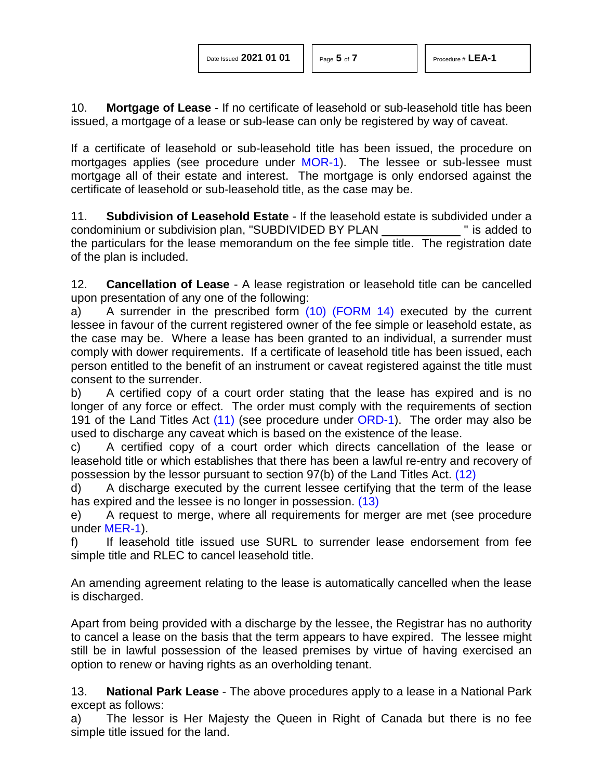| Date Issued 2021 01 01 |  |  |  |
|------------------------|--|--|--|
|------------------------|--|--|--|

10. **Mortgage of Lease** - If no certificate of leasehold or sub-leasehold title has been issued, a mortgage of a lease or sub-lease can only be registered by way of caveat.

If a certificate of leasehold or sub-leasehold title has been issued, the procedure on mortgages applies (see procedure under [MOR-1\)](http://www.servicealberta.ca/pdf/ltmanual/MOR-1.pdf). The lessee or sub-lessee must mortgage all of their estate and interest. The mortgage is only endorsed against the certificate of leasehold or sub-leasehold title, as the case may be.

11. **Subdivision of Leasehold Estate** - If the leasehold estate is subdivided under a condominium or subdivision plan, "SUBDIVIDED BY PLAN " is added to the particulars for the lease memorandum on the fee simple title. The registration date of the plan is included.

12. **Cancellation of Lease** - A lease registration or leasehold title can be cancelled upon presentation of any one of the following:

<span id="page-4-0"></span>a) A surrender in the prescribed form [\(10\)](#page-6-9) [\(FORM 14\)](http://www.servicealberta.ca/pdf/ltmanual/FORM14.PDF) executed by the current lessee in favour of the current registered owner of the fee simple or leasehold estate, as the case may be. Where a lease has been granted to an individual, a surrender must comply with dower requirements. If a certificate of leasehold title has been issued, each person entitled to the benefit of an instrument or caveat registered against the title must consent to the surrender.

<span id="page-4-1"></span>b) A certified copy of a court order stating that the lease has expired and is no longer of any force or effect. The order must comply with the requirements of section 191 of the Land Titles Act [\(11\)](#page-6-10) (see procedure under [ORD-1\)](http://www.servicealberta.ca/pdf/ltmanual/ORD-1.pdf). The order may also be used to discharge any caveat which is based on the existence of the lease.

c) A certified copy of a court order which directs cancellation of the lease or leasehold title or which establishes that there has been a lawful re-entry and recovery of possession by the lessor pursuant to section 97(b) of the Land Titles Act. [\(12\)](#page-6-11)

<span id="page-4-3"></span><span id="page-4-2"></span>d) A discharge executed by the current lessee certifying that the term of the lease has expired and the lessee is no longer in possession. [\(13\)](#page-6-12)

e) A request to merge, where all requirements for merger are met (see procedure under [MER-1\)](http://www.servicealberta.ca/pdf/ltmanual/MER-1.pdf).

f) If leasehold title issued use SURL to surrender lease endorsement from fee simple title and RLEC to cancel leasehold title.

An amending agreement relating to the lease is automatically cancelled when the lease is discharged.

Apart from being provided with a discharge by the lessee, the Registrar has no authority to cancel a lease on the basis that the term appears to have expired. The lessee might still be in lawful possession of the leased premises by virtue of having exercised an option to renew or having rights as an overholding tenant.

13. **National Park Lease** - The above procedures apply to a lease in a National Park except as follows:

a) The lessor is Her Majesty the Queen in Right of Canada but there is no fee simple title issued for the land.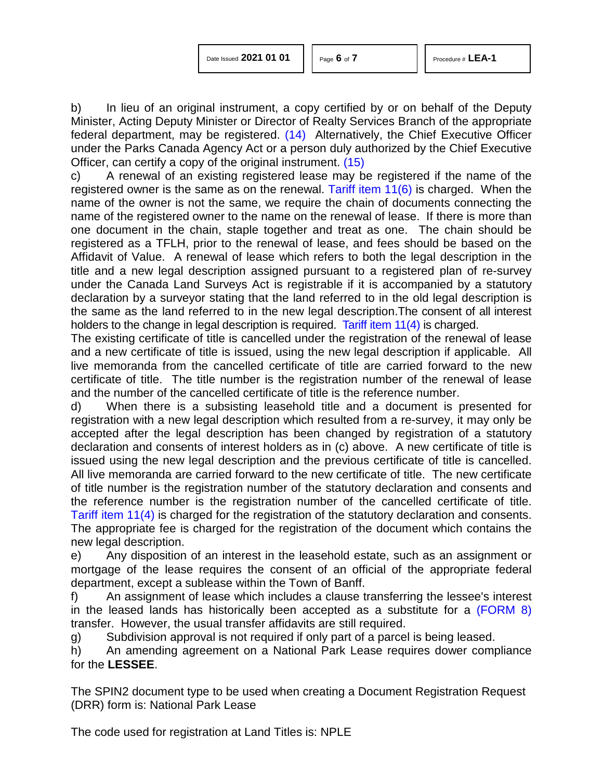| Date Issued 2021 01 01 |  |  |  |
|------------------------|--|--|--|
|------------------------|--|--|--|

<span id="page-5-1"></span><span id="page-5-0"></span>

b) In lieu of an original instrument, a copy certified by or on behalf of the Deputy Minister, Acting Deputy Minister or Director of Realty Services Branch of the appropriate federal department, may be registered. [\(14\)](#page-6-13) Alternatively, the Chief Executive Officer under the Parks Canada Agency Act or a person duly authorized by the Chief Executive Officer, can certify a copy of the original instrument. [\(15\)](#page-6-14)

c) A renewal of an existing registered lease may be registered if the name of the registered owner is the same as on the renewal. Tariff item  $11(6)$  is charged. When the name of the owner is not the same, we require the chain of documents connecting the name of the registered owner to the name on the renewal of lease. If there is more than one document in the chain, staple together and treat as one. The chain should be registered as a TFLH, prior to the renewal of lease, and fees should be based on the Affidavit of Value. A renewal of lease which refers to both the legal description in the title and a new legal description assigned pursuant to a registered plan of re-survey under the Canada Land Surveys Act is registrable if it is accompanied by a statutory declaration by a surveyor stating that the land referred to in the old legal description is the same as the land referred to in the new legal description.The consent of all interest holders to the change in legal description is required. [Tariff item 11\(4\)](http://www.servicealberta.ca/pdf/ltmanual/APPENDIXI.pdf) is charged.

The existing certificate of title is cancelled under the registration of the renewal of lease and a new certificate of title is issued, using the new legal description if applicable. All live memoranda from the cancelled certificate of title are carried forward to the new certificate of title. The title number is the registration number of the renewal of lease and the number of the cancelled certificate of title is the reference number.

d) When there is a subsisting leasehold title and a document is presented for registration with a new legal description which resulted from a re-survey, it may only be accepted after the legal description has been changed by registration of a statutory declaration and consents of interest holders as in (c) above. A new certificate of title is issued using the new legal description and the previous certificate of title is cancelled. All live memoranda are carried forward to the new certificate of title. The new certificate of title number is the registration number of the statutory declaration and consents and the reference number is the registration number of the cancelled certificate of title. [Tariff item 11\(4\)](http://www.servicealberta.ca/pdf/ltmanual/APPENDIXI.pdf) is charged for the registration of the statutory declaration and consents. The appropriate fee is charged for the registration of the document which contains the new legal description.

e) Any disposition of an interest in the leasehold estate, such as an assignment or mortgage of the lease requires the consent of an official of the appropriate federal department, except a sublease within the Town of Banff.

f) An assignment of lease which includes a clause transferring the lessee's interest in the leased lands has historically been accepted as a substitute for a [\(FORM 8\)](http://www.servicealberta.ca/pdf/ltmanual/FORM8.pdf) transfer. However, the usual transfer affidavits are still required.

g) Subdivision approval is not required if only part of a parcel is being leased.<br>h) An amending agreement on a National Park Lease requires dower comp

An amending agreement on a National Park Lease requires dower compliance for the **LESSEE**.

The SPIN2 document type to be used when creating a Document Registration Request (DRR) form is: National Park Lease

The code used for registration at Land Titles is: NPLE